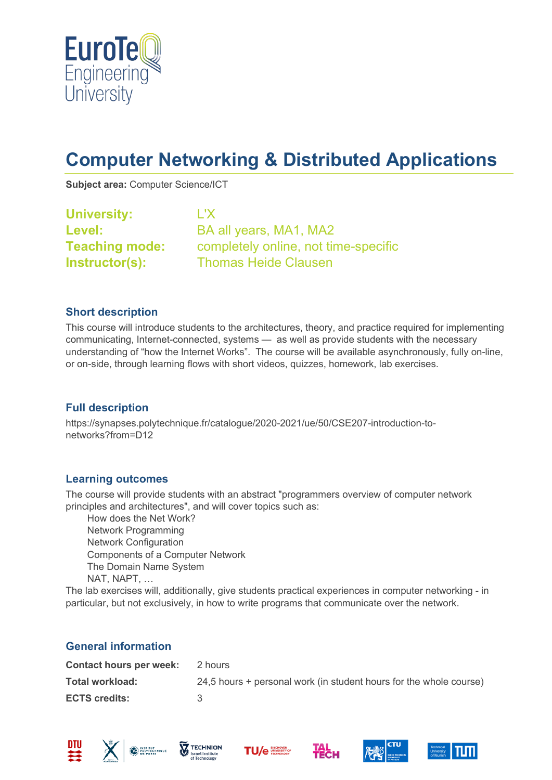

# **Computer Networking & Distributed Applications**

**Subject area:** Computer Science/ICT

| <b>University:</b>    | L'X                                  |
|-----------------------|--------------------------------------|
| Level:                | BA all years, MA1, MA2               |
| <b>Teaching mode:</b> | completely online, not time-specific |
| <b>Instructor(s):</b> | <b>Thomas Heide Clausen</b>          |

#### **Short description**

This course will introduce students to the architectures, theory, and practice required for implementing communicating, Internet-connected, systems — as well as provide students with the necessary understanding of "how the Internet Works". The course will be available asynchronously, fully on-line, or on-side, through learning flows with short videos, quizzes, homework, lab exercises.

### **Full description**

https://synapses.polytechnique.fr/catalogue/2020-2021/ue/50/CSE207-introduction-tonetworks?from=D12

#### **Learning outcomes**

The course will provide students with an abstract "programmers overview of computer network principles and architectures", and will cover topics such as:

 How does the Net Work? Network Programming Network Configuration Components of a Computer Network The Domain Name System NAT, NAPT, …

The lab exercises will, additionally, give students practical experiences in computer networking - in particular, but not exclusively, in how to write programs that communicate over the network.

#### **General information**

| <b>Contact hours per week:</b> | 2 hours                                                            |
|--------------------------------|--------------------------------------------------------------------|
| Total workload:                | 24,5 hours + personal work (in student hours for the whole course) |
| <b>ECTS credits:</b>           | -2                                                                 |











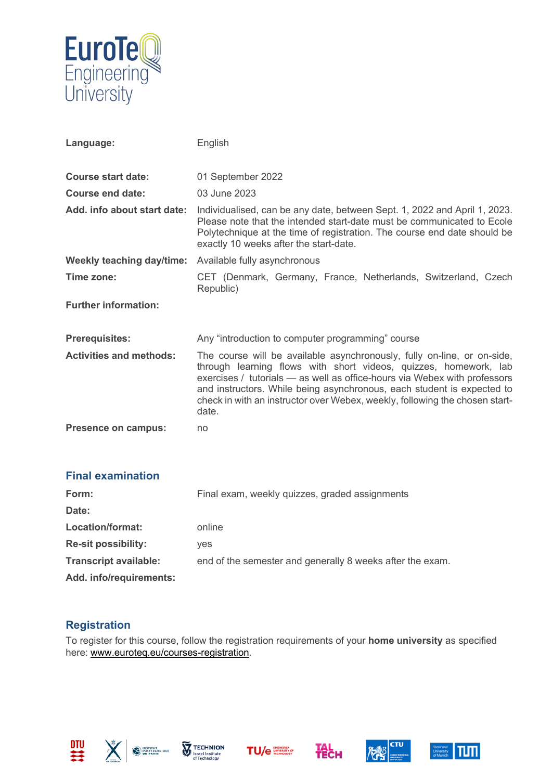

| Language:                      | English                                                                                                                                                                                                                                                                                                                                                                                    |
|--------------------------------|--------------------------------------------------------------------------------------------------------------------------------------------------------------------------------------------------------------------------------------------------------------------------------------------------------------------------------------------------------------------------------------------|
| <b>Course start date:</b>      | 01 September 2022                                                                                                                                                                                                                                                                                                                                                                          |
| Course end date:               | 03 June 2023                                                                                                                                                                                                                                                                                                                                                                               |
| Add. info about start date:    | Individualised, can be any date, between Sept. 1, 2022 and April 1, 2023.<br>Please note that the intended start-date must be communicated to Ecole<br>Polytechnique at the time of registration. The course end date should be<br>exactly 10 weeks after the start-date.                                                                                                                  |
| Weekly teaching day/time:      | Available fully asynchronous                                                                                                                                                                                                                                                                                                                                                               |
| Time zone:                     | CET (Denmark, Germany, France, Netherlands, Switzerland, Czech<br>Republic)                                                                                                                                                                                                                                                                                                                |
| <b>Further information:</b>    |                                                                                                                                                                                                                                                                                                                                                                                            |
| <b>Prerequisites:</b>          | Any "introduction to computer programming" course                                                                                                                                                                                                                                                                                                                                          |
| <b>Activities and methods:</b> | The course will be available asynchronously, fully on-line, or on-side,<br>through learning flows with short videos, quizzes, homework, lab<br>exercises / tutorials - as well as office-hours via Webex with professors<br>and instructors. While being asynchronous, each student is expected to<br>check in with an instructor over Webex, weekly, following the chosen start-<br>date. |
| Presence on campus:            | no                                                                                                                                                                                                                                                                                                                                                                                         |

| <b>Final examination</b>     |                                                           |
|------------------------------|-----------------------------------------------------------|
| Form:                        | Final exam, weekly quizzes, graded assignments            |
| Date:                        |                                                           |
| Location/format:             | online                                                    |
| <b>Re-sit possibility:</b>   | ves                                                       |
| <b>Transcript available:</b> | end of the semester and generally 8 weeks after the exam. |
| Add. info/requirements:      |                                                           |

## **Registration**

To register for this course, follow the registration requirements of your **home university** as specified here: [www.euroteq.eu/courses-registration.](http://www.euroteq.eu/courses-registration)